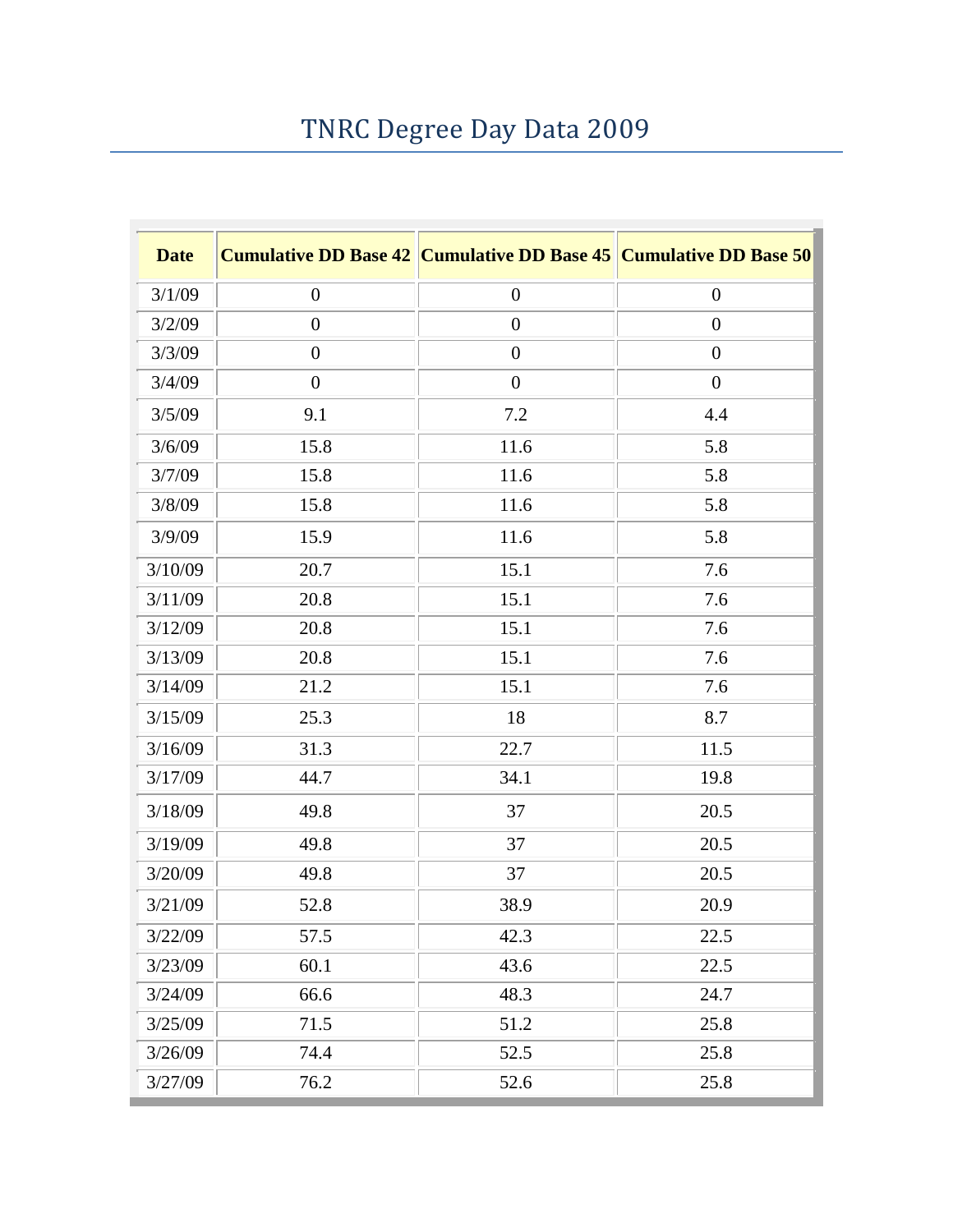## TNRC Degree Day Data 2009

| <b>Date</b> |                  | <b>Cumulative DD Base 42 Cumulative DD Base 45 Cumulative DD Base 50</b> |                  |
|-------------|------------------|--------------------------------------------------------------------------|------------------|
| 3/1/09      | $\boldsymbol{0}$ | $\boldsymbol{0}$                                                         | $\boldsymbol{0}$ |
| 3/2/09      | $\boldsymbol{0}$ | $\boldsymbol{0}$                                                         | $\boldsymbol{0}$ |
| 3/3/09      | $\boldsymbol{0}$ | $\boldsymbol{0}$                                                         | $\boldsymbol{0}$ |
| 3/4/09      | $\boldsymbol{0}$ | $\boldsymbol{0}$                                                         | $\boldsymbol{0}$ |
| 3/5/09      | 9.1              | 7.2                                                                      | 4.4              |
| 3/6/09      | 15.8             | 11.6                                                                     | 5.8              |
| 3/7/09      | 15.8             | 11.6                                                                     | 5.8              |
| 3/8/09      | 15.8             | 11.6                                                                     | 5.8              |
| 3/9/09      | 15.9             | 11.6                                                                     | 5.8              |
| 3/10/09     | 20.7             | 15.1                                                                     | 7.6              |
| 3/11/09     | 20.8             | 15.1                                                                     | 7.6              |
| 3/12/09     | 20.8             | 15.1                                                                     | 7.6              |
| 3/13/09     | 20.8             | 15.1                                                                     | 7.6              |
| 3/14/09     | 21.2             | 15.1                                                                     | 7.6              |
| 3/15/09     | 25.3             | 18                                                                       | 8.7              |
| 3/16/09     | 31.3             | 22.7                                                                     | 11.5             |
| 3/17/09     | 44.7             | 34.1                                                                     | 19.8             |
| 3/18/09     | 49.8             | 37                                                                       | 20.5             |
| 3/19/09     | 49.8             | 37                                                                       | 20.5             |
| 3/20/09     | 49.8             | 37                                                                       | 20.5             |
| 3/21/09     | 52.8             | 38.9                                                                     | 20.9             |
| 3/22/09     | 57.5             | 42.3                                                                     | 22.5             |
| 3/23/09     | 60.1             | 43.6                                                                     | 22.5             |
| 3/24/09     | 66.6             | 48.3                                                                     | 24.7             |
| 3/25/09     | 71.5             | 51.2                                                                     | 25.8             |
| 3/26/09     | 74.4             | 52.5                                                                     | 25.8             |
| 3/27/09     | 76.2             | 52.6                                                                     | 25.8             |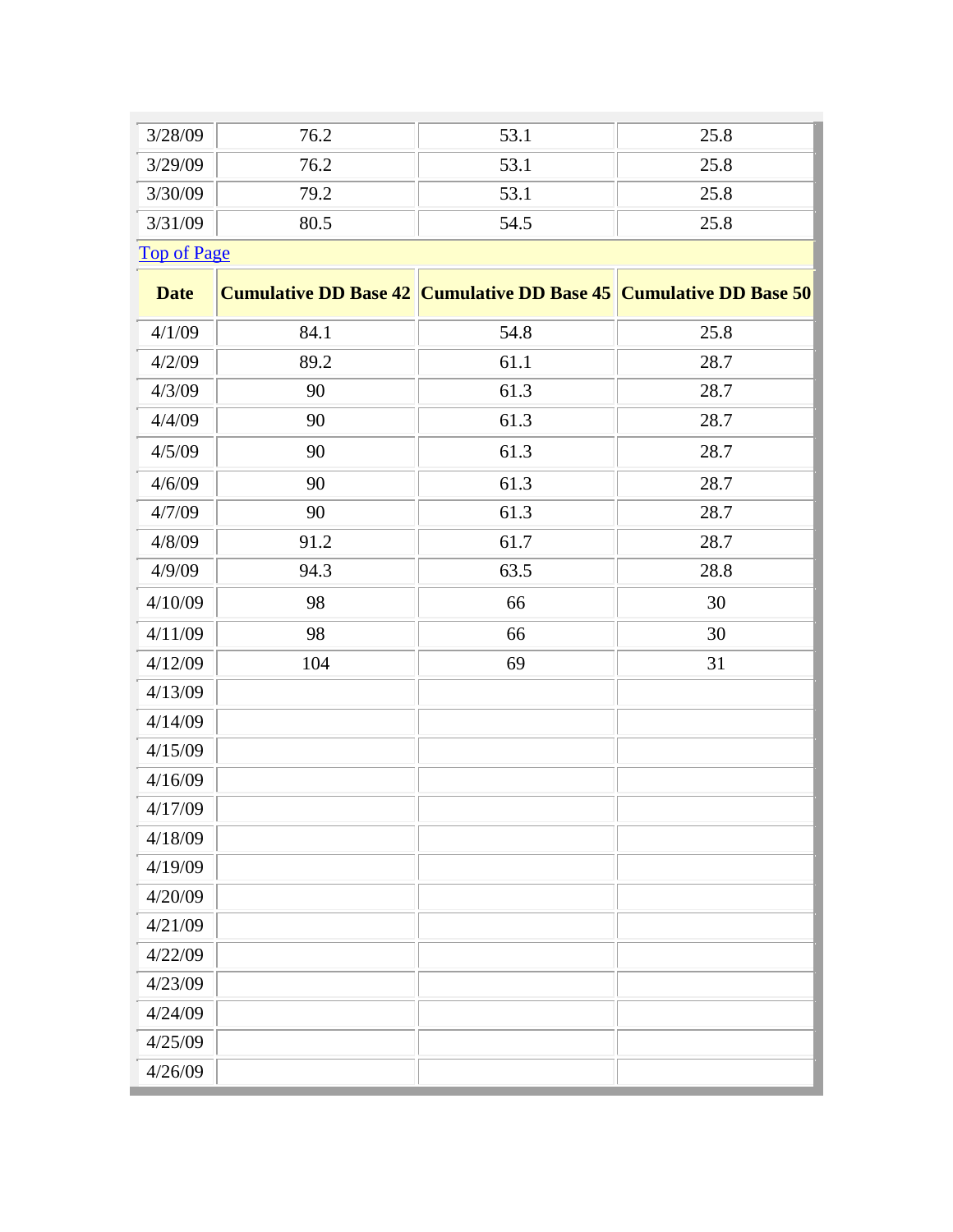| 3/28/09                       | 76.2 | 53.1 | 25.8 |
|-------------------------------|------|------|------|
| 3/29/09                       | 76.2 | 53.1 | 25.8 |
| 3/30/09                       | 79.2 | 53.1 | 25.8 |
| 3/31/09                       | 80.5 | 54.5 | 25.8 |
| $T_{\rm max}$ . $T_{\rm max}$ |      |      |      |

[Top of Page](http://www.agbioresearch.msu.edu/tnrc/weather2009.htm#weathertop)

| <b>Date</b> |      | <b>Cumulative DD Base 42 Cumulative DD Base 45 Cumulative DD Base 50</b> |      |
|-------------|------|--------------------------------------------------------------------------|------|
| 4/1/09      | 84.1 | 54.8                                                                     | 25.8 |
| 4/2/09      | 89.2 | 61.1                                                                     | 28.7 |
| 4/3/09      | 90   | 61.3                                                                     | 28.7 |
| 4/4/09      | 90   | 61.3                                                                     | 28.7 |
| 4/5/09      | 90   | 61.3                                                                     | 28.7 |
| 4/6/09      | 90   | 61.3                                                                     | 28.7 |
| 4/7/09      | 90   | 61.3                                                                     | 28.7 |
| 4/8/09      | 91.2 | 61.7                                                                     | 28.7 |
| 4/9/09      | 94.3 | 63.5                                                                     | 28.8 |
| 4/10/09     | 98   | 66                                                                       | 30   |
| 4/11/09     | 98   | 66                                                                       | 30   |
| 4/12/09     | 104  | 69                                                                       | 31   |
| 4/13/09     |      |                                                                          |      |
| 4/14/09     |      |                                                                          |      |
| 4/15/09     |      |                                                                          |      |
| 4/16/09     |      |                                                                          |      |
| 4/17/09     |      |                                                                          |      |
| 4/18/09     |      |                                                                          |      |
| 4/19/09     |      |                                                                          |      |
| 4/20/09     |      |                                                                          |      |
| 4/21/09     |      |                                                                          |      |
| 4/22/09     |      |                                                                          |      |
| 4/23/09     |      |                                                                          |      |
| 4/24/09     |      |                                                                          |      |
| 4/25/09     |      |                                                                          |      |
| 4/26/09     |      |                                                                          |      |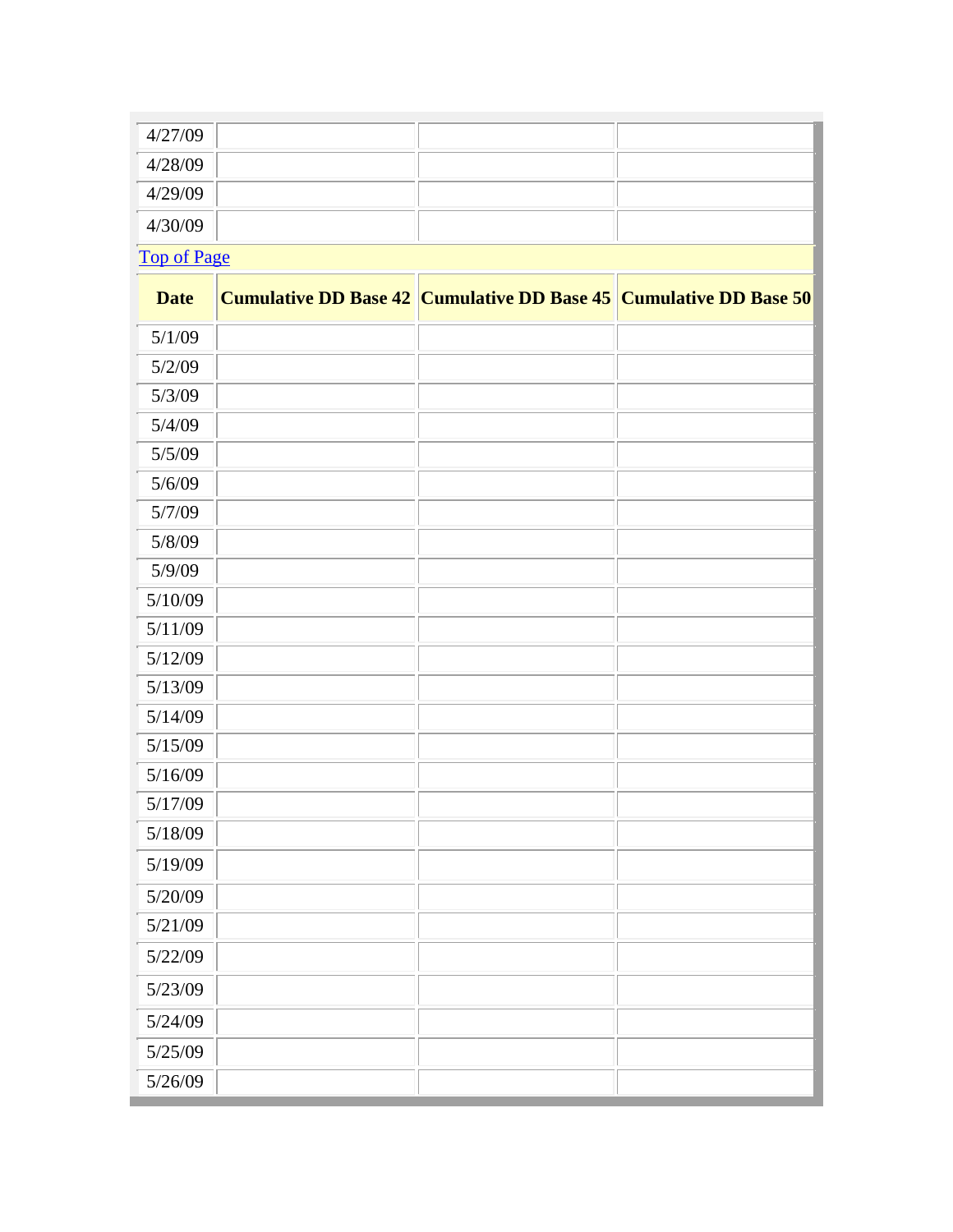| 4/27/09            |  |  |  |
|--------------------|--|--|--|
| 4/28/09            |  |  |  |
| 4/29/09            |  |  |  |
| 4/30/09            |  |  |  |
| <b>Top of Page</b> |  |  |  |

**Date Cumulative DD Base 42 Cumulative DD Base 45 Cumulative DD Base 50** 5/1/09 5/2/09 5/3/09 5/4/09 5/5/09 5/6/09 5/7/09 5/8/09 5/9/09 5/10/09 5/11/09 5/12/09 5/13/09 5/14/09 5/15/09 5/16/09 5/17/09 5/18/09 5/19/09 5/20/09 5/21/09 5/22/09 5/23/09 5/24/09 5/25/09 5/26/09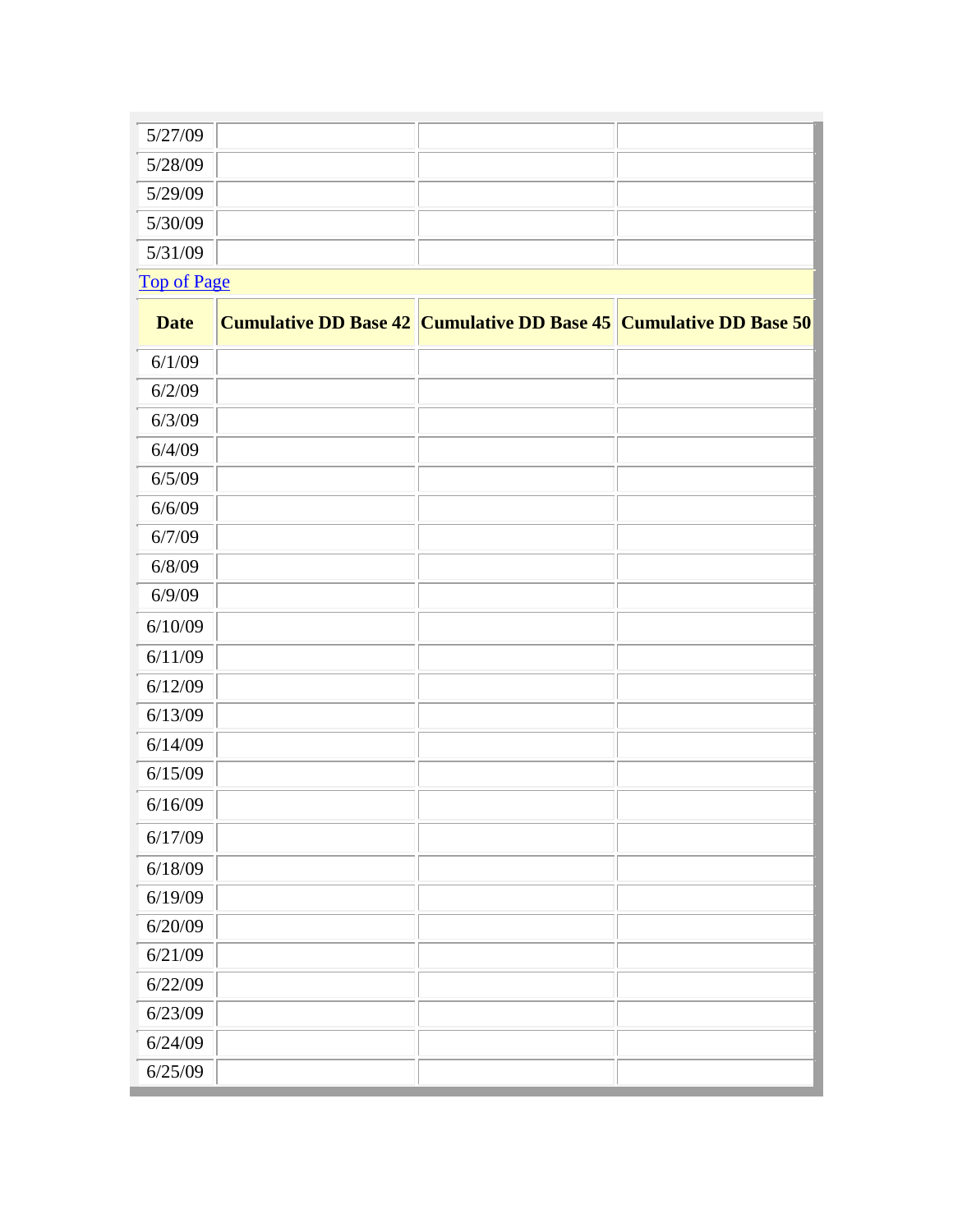| 5/27/09     |  |  |  |
|-------------|--|--|--|
| 5/28/09     |  |  |  |
| 5/29/09     |  |  |  |
| 5/30/09     |  |  |  |
| 5/31/09     |  |  |  |
| Top of Page |  |  |  |

| <b>Date</b> | <b>Cumulative DD Base 42 Cumulative DD Base 45 Cumulative DD Base 50</b> |  |
|-------------|--------------------------------------------------------------------------|--|
| 6/1/09      |                                                                          |  |
| 6/2/09      |                                                                          |  |
| 6/3/09      |                                                                          |  |
| 6/4/09      |                                                                          |  |
| 6/5/09      |                                                                          |  |
| 6/6/09      |                                                                          |  |
| 6/7/09      |                                                                          |  |
| 6/8/09      |                                                                          |  |
| 6/9/09      |                                                                          |  |
| 6/10/09     |                                                                          |  |
| 6/11/09     |                                                                          |  |
| 6/12/09     |                                                                          |  |
| 6/13/09     |                                                                          |  |
| 6/14/09     |                                                                          |  |
| 6/15/09     |                                                                          |  |
| 6/16/09     |                                                                          |  |
| 6/17/09     |                                                                          |  |
| 6/18/09     |                                                                          |  |
| 6/19/09     |                                                                          |  |
| 6/20/09     |                                                                          |  |
| 6/21/09     |                                                                          |  |
| 6/22/09     |                                                                          |  |
| 6/23/09     |                                                                          |  |
| 6/24/09     |                                                                          |  |
| 6/25/09     |                                                                          |  |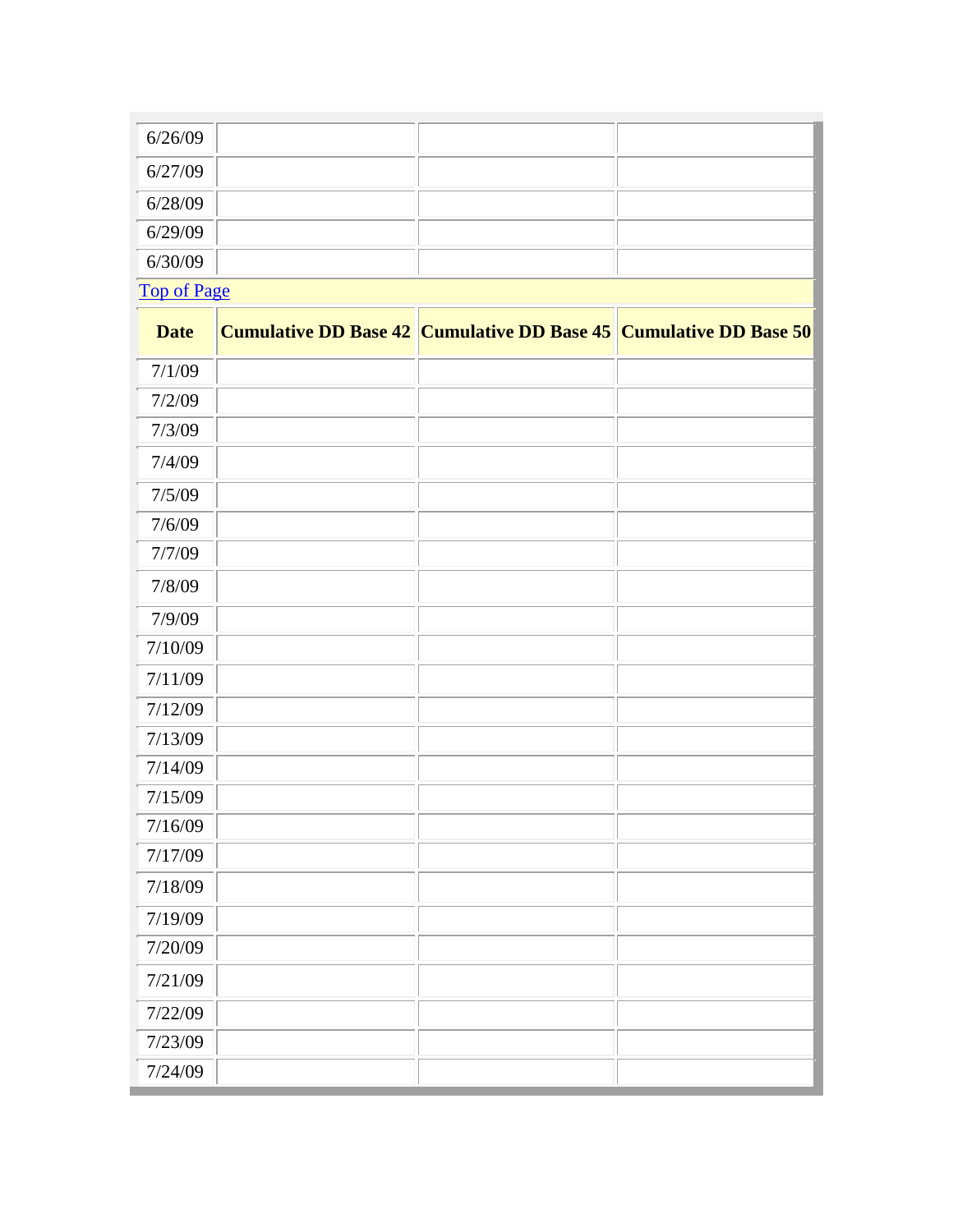| 6/26/09 |  |  |
|---------|--|--|
| 6/27/09 |  |  |
| 6/28/09 |  |  |
| 6/29/09 |  |  |
| 6/30/09 |  |  |

[Top of Page](http://www.agbioresearch.msu.edu/tnrc/weather2009.htm#weathertop)

| <b>Date</b> | Cumulative DD Base 42 Cumulative DD Base 45 Cumulative DD Base 50 |  |
|-------------|-------------------------------------------------------------------|--|
| 7/1/09      |                                                                   |  |
| 7/2/09      |                                                                   |  |
| 7/3/09      |                                                                   |  |
| 7/4/09      |                                                                   |  |
| 7/5/09      |                                                                   |  |
| 7/6/09      |                                                                   |  |
| 7/7/09      |                                                                   |  |
| 7/8/09      |                                                                   |  |
| 7/9/09      |                                                                   |  |
| 7/10/09     |                                                                   |  |
| 7/11/09     |                                                                   |  |
| 7/12/09     |                                                                   |  |
| 7/13/09     |                                                                   |  |
| 7/14/09     |                                                                   |  |
| 7/15/09     |                                                                   |  |
| 7/16/09     |                                                                   |  |
| 7/17/09     |                                                                   |  |
| 7/18/09     |                                                                   |  |
| 7/19/09     |                                                                   |  |
| 7/20/09     |                                                                   |  |
| 7/21/09     |                                                                   |  |
| 7/22/09     |                                                                   |  |
| 7/23/09     |                                                                   |  |
| 7/24/09     |                                                                   |  |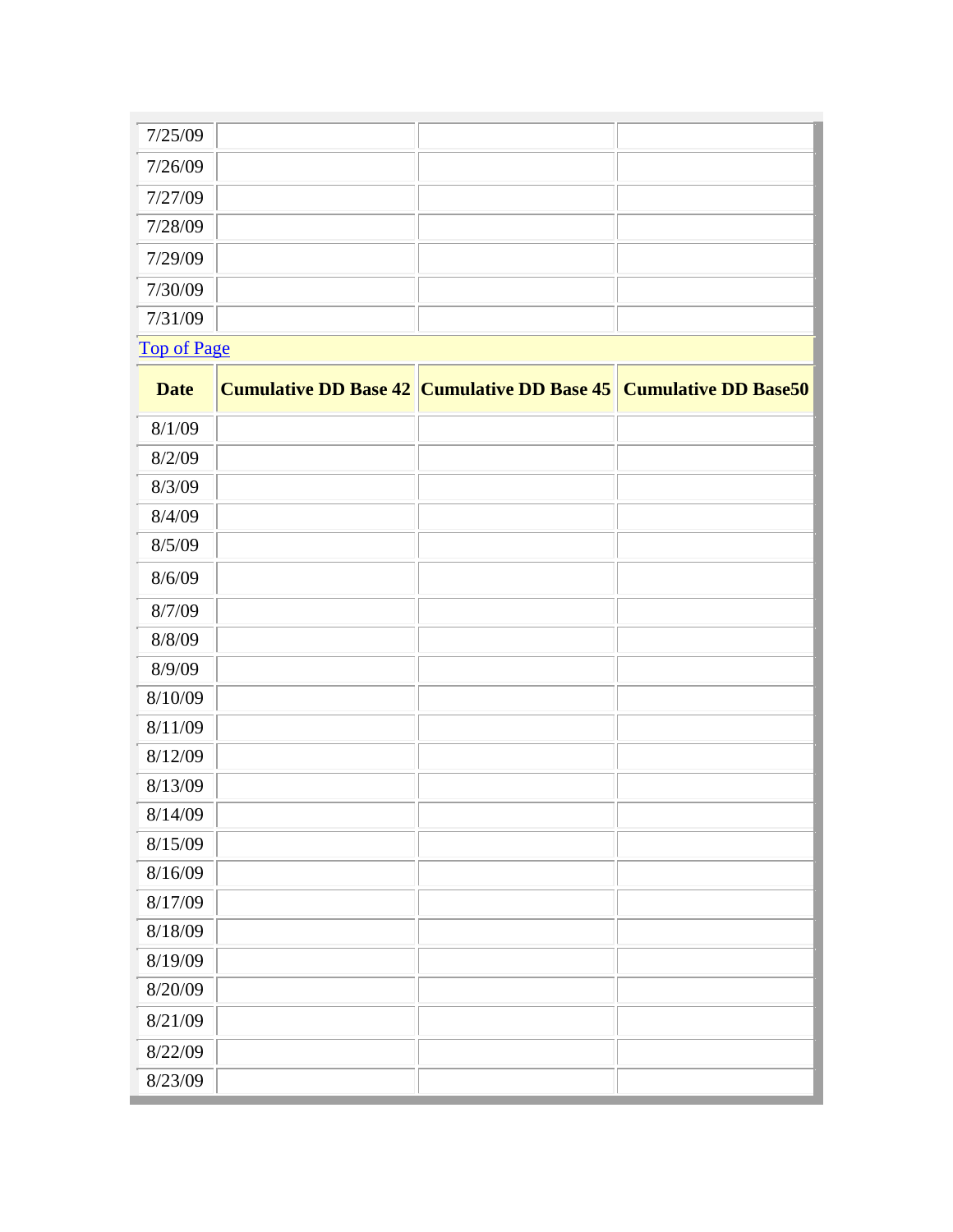| 7/25/09            |  |  |  |
|--------------------|--|--|--|
| 7/26/09            |  |  |  |
| 7/27/09            |  |  |  |
| 7/28/09            |  |  |  |
| 7/29/09            |  |  |  |
| 7/30/09            |  |  |  |
| 7/31/09            |  |  |  |
| <b>Top of Page</b> |  |  |  |

| <b>Date</b> | <b>Cumulative DD Base 42 Cumulative DD Base 45 Cumulative DD Base50</b> |  |
|-------------|-------------------------------------------------------------------------|--|
| 8/1/09      |                                                                         |  |
| 8/2/09      |                                                                         |  |
| 8/3/09      |                                                                         |  |
| 8/4/09      |                                                                         |  |
| 8/5/09      |                                                                         |  |
| 8/6/09      |                                                                         |  |
| 8/7/09      |                                                                         |  |
| 8/8/09      |                                                                         |  |
| 8/9/09      |                                                                         |  |
| 8/10/09     |                                                                         |  |
| 8/11/09     |                                                                         |  |
| 8/12/09     |                                                                         |  |
| 8/13/09     |                                                                         |  |
| 8/14/09     |                                                                         |  |
| 8/15/09     |                                                                         |  |
| 8/16/09     |                                                                         |  |
| 8/17/09     |                                                                         |  |
| 8/18/09     |                                                                         |  |
| 8/19/09     |                                                                         |  |
| 8/20/09     |                                                                         |  |
| 8/21/09     |                                                                         |  |
| 8/22/09     |                                                                         |  |
| 8/23/09     |                                                                         |  |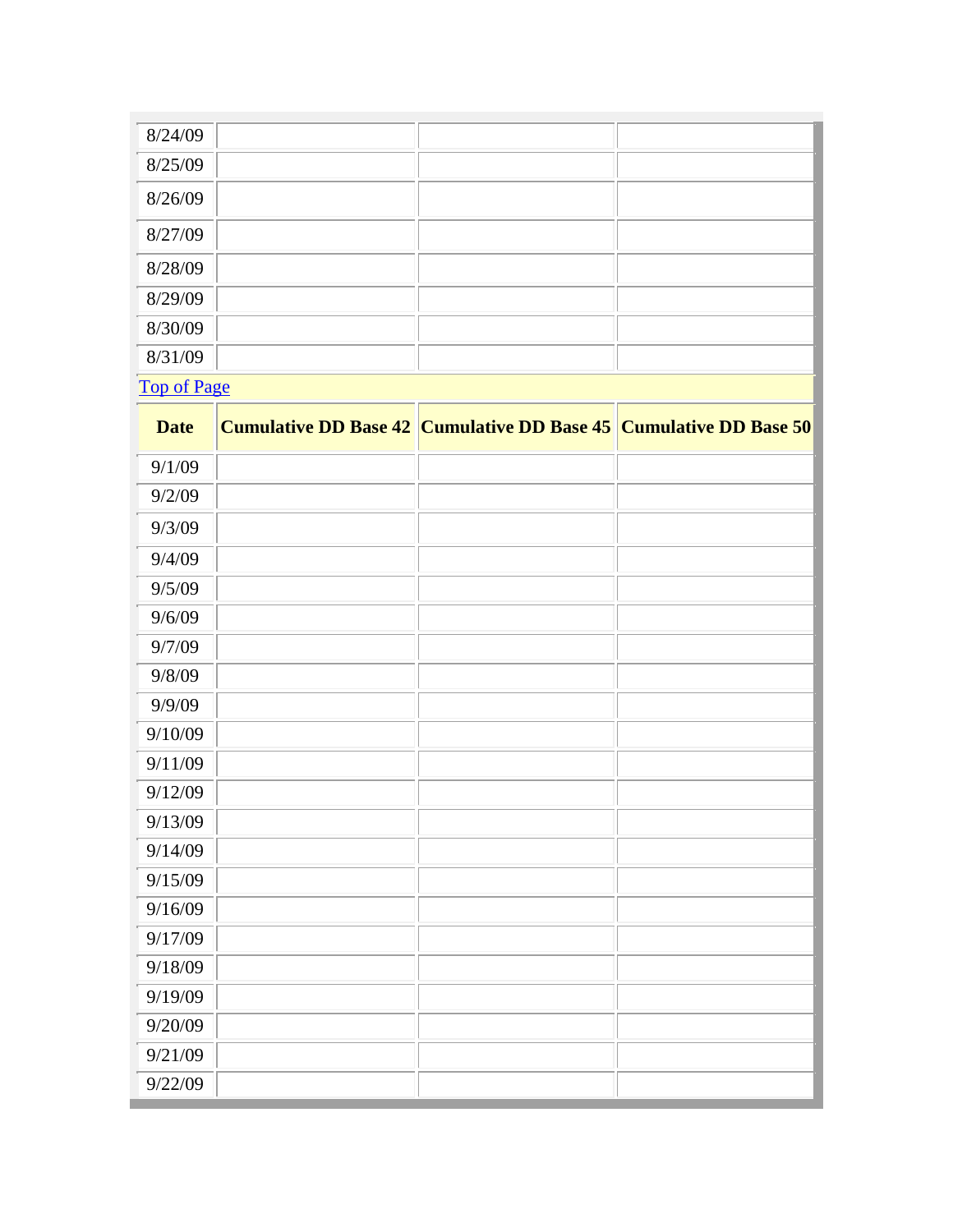| 8/24/09            |  |  |  |
|--------------------|--|--|--|
| 8/25/09            |  |  |  |
| 8/26/09            |  |  |  |
| 8/27/09            |  |  |  |
| 8/28/09            |  |  |  |
| 8/29/09            |  |  |  |
| 8/30/09            |  |  |  |
| 8/31/09            |  |  |  |
| <b>Top of Page</b> |  |  |  |

| <b>Date</b> | <b>Cumulative DD Base 42 Cumulative DD Base 45 Cumulative DD Base 50</b> |  |
|-------------|--------------------------------------------------------------------------|--|
| 9/1/09      |                                                                          |  |
| 9/2/09      |                                                                          |  |
| 9/3/09      |                                                                          |  |
| 9/4/09      |                                                                          |  |
| 9/5/09      |                                                                          |  |
| 9/6/09      |                                                                          |  |
| 9/7/09      |                                                                          |  |
| 9/8/09      |                                                                          |  |
| 9/9/09      |                                                                          |  |
| 9/10/09     |                                                                          |  |
| 9/11/09     |                                                                          |  |
| 9/12/09     |                                                                          |  |
| 9/13/09     |                                                                          |  |
| 9/14/09     |                                                                          |  |
| 9/15/09     |                                                                          |  |
| 9/16/09     |                                                                          |  |
| 9/17/09     |                                                                          |  |
| 9/18/09     |                                                                          |  |
| 9/19/09     |                                                                          |  |
| 9/20/09     |                                                                          |  |
| 9/21/09     |                                                                          |  |
| 9/22/09     |                                                                          |  |